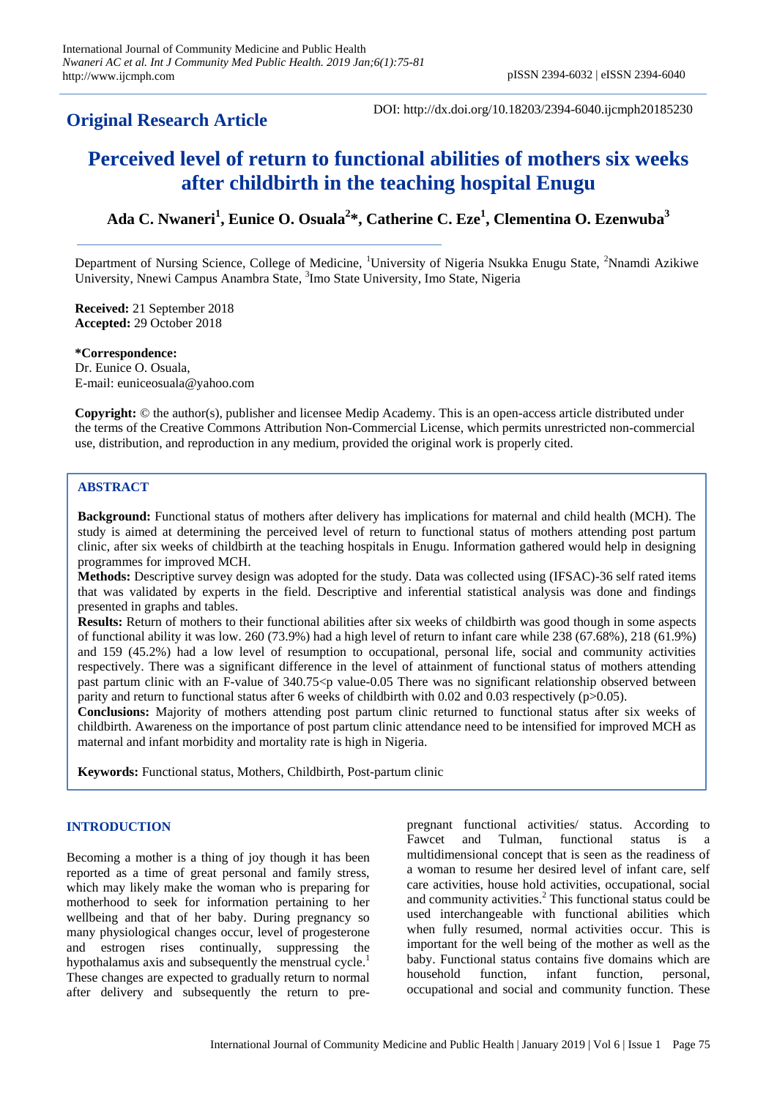## **Original Research Article**

DOI: http://dx.doi.org/10.18203/2394-6040.ijcmph20185230

# **Perceived level of return to functional abilities of mothers six weeks after childbirth in the teaching hospital Enugu**

**Ada C. Nwaneri<sup>1</sup> , Eunice O. Osuala<sup>2</sup> \*, Catherine C. Eze<sup>1</sup> , Clementina O. Ezenwuba<sup>3</sup>**

Department of Nursing Science, College of Medicine, <sup>1</sup>University of Nigeria Nsukka Enugu State, <sup>2</sup>Nnamdi Azikiwe University, Nnewi Campus Anambra State, <sup>3</sup>Imo State University, Imo State, Nigeria

**Received:** 21 September 2018 **Accepted:** 29 October 2018

**\*Correspondence:** Dr. Eunice O. Osuala, E-mail: euniceosuala@yahoo.com

**Copyright:** © the author(s), publisher and licensee Medip Academy. This is an open-access article distributed under the terms of the Creative Commons Attribution Non-Commercial License, which permits unrestricted non-commercial use, distribution, and reproduction in any medium, provided the original work is properly cited.

## **ABSTRACT**

**Background:** Functional status of mothers after delivery has implications for maternal and child health (MCH). The study is aimed at determining the perceived level of return to functional status of mothers attending post partum clinic, after six weeks of childbirth at the teaching hospitals in Enugu. Information gathered would help in designing programmes for improved MCH.

**Methods:** Descriptive survey design was adopted for the study. Data was collected using (IFSAC)-36 self rated items that was validated by experts in the field. Descriptive and inferential statistical analysis was done and findings presented in graphs and tables.

**Results:** Return of mothers to their functional abilities after six weeks of childbirth was good though in some aspects of functional ability it was low. 260 (73.9%) had a high level of return to infant care while 238 (67.68%), 218 (61.9%) and 159 (45.2%) had a low level of resumption to occupational, personal life, social and community activities respectively. There was a significant difference in the level of attainment of functional status of mothers attending past partum clinic with an F-value of 340.75 < p value-0.05 There was no significant relationship observed between parity and return to functional status after 6 weeks of childbirth with 0.02 and 0.03 respectively (p>0.05).

**Conclusions:** Majority of mothers attending post partum clinic returned to functional status after six weeks of childbirth. Awareness on the importance of post partum clinic attendance need to be intensified for improved MCH as maternal and infant morbidity and mortality rate is high in Nigeria.

**Keywords:** Functional status, Mothers, Childbirth, Post-partum clinic

## **INTRODUCTION**

Becoming a mother is a thing of joy though it has been reported as a time of great personal and family stress, which may likely make the woman who is preparing for motherhood to seek for information pertaining to her wellbeing and that of her baby. During pregnancy so many physiological changes occur, level of progesterone and estrogen rises continually, suppressing the hypothalamus axis and subsequently the menstrual cycle.<sup>1</sup> These changes are expected to gradually return to normal after delivery and subsequently the return to prepregnant functional activities/ status. According to Fawcet and Tulman, functional status is a multidimensional concept that is seen as the readiness of a woman to resume her desired level of infant care, self care activities, house hold activities, occupational, social and community activities. <sup>2</sup> This functional status could be used interchangeable with functional abilities which when fully resumed, normal activities occur. This is important for the well being of the mother as well as the baby. Functional status contains five domains which are household function, infant function, personal, occupational and social and community function. These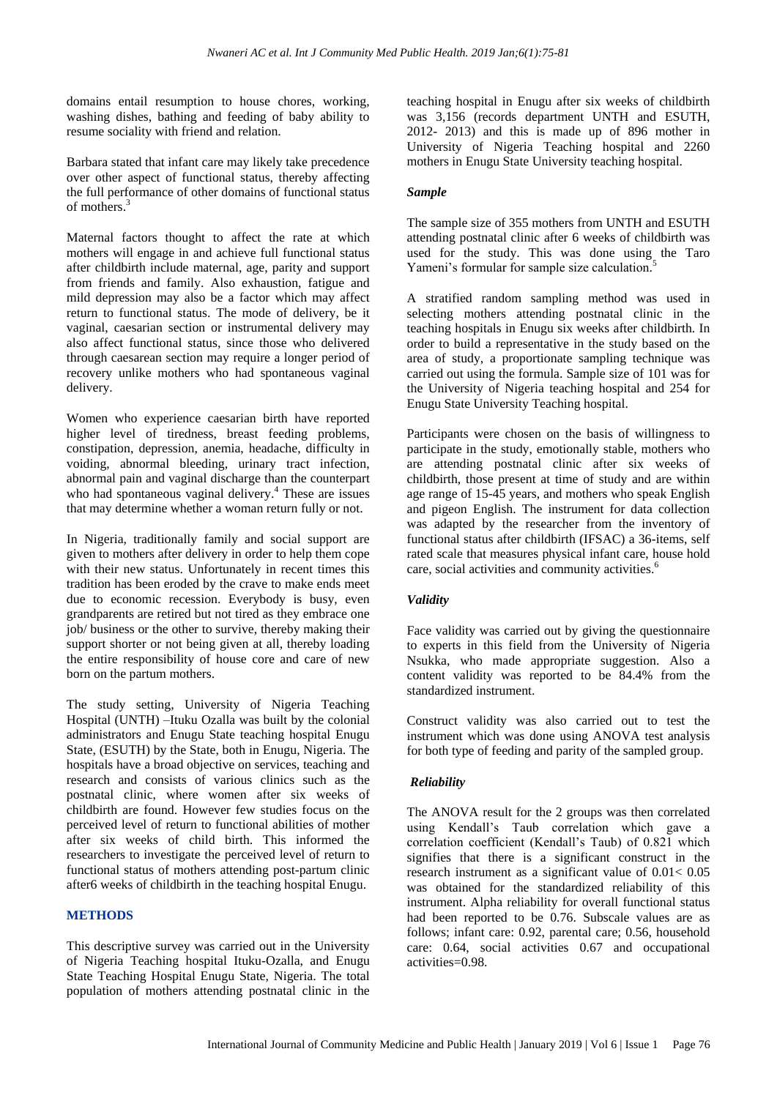domains entail resumption to house chores, working, washing dishes, bathing and feeding of baby ability to resume sociality with friend and relation.

Barbara stated that infant care may likely take precedence over other aspect of functional status, thereby affecting the full performance of other domains of functional status of mothers. 3

Maternal factors thought to affect the rate at which mothers will engage in and achieve full functional status after childbirth include maternal, age, parity and support from friends and family. Also exhaustion, fatigue and mild depression may also be a factor which may affect return to functional status. The mode of delivery, be it vaginal, caesarian section or instrumental delivery may also affect functional status, since those who delivered through caesarean section may require a longer period of recovery unlike mothers who had spontaneous vaginal delivery.

Women who experience caesarian birth have reported higher level of tiredness, breast feeding problems, constipation, depression, anemia, headache, difficulty in voiding, abnormal bleeding, urinary tract infection, abnormal pain and vaginal discharge than the counterpart who had spontaneous vaginal delivery.<sup>4</sup> These are issues that may determine whether a woman return fully or not.

In Nigeria, traditionally family and social support are given to mothers after delivery in order to help them cope with their new status. Unfortunately in recent times this tradition has been eroded by the crave to make ends meet due to economic recession. Everybody is busy, even grandparents are retired but not tired as they embrace one job/ business or the other to survive, thereby making their support shorter or not being given at all, thereby loading the entire responsibility of house core and care of new born on the partum mothers.

The study setting, University of Nigeria Teaching Hospital (UNTH) –Ituku Ozalla was built by the colonial administrators and Enugu State teaching hospital Enugu State, (ESUTH) by the State, both in Enugu, Nigeria. The hospitals have a broad objective on services, teaching and research and consists of various clinics such as the postnatal clinic, where women after six weeks of childbirth are found. However few studies focus on the perceived level of return to functional abilities of mother after six weeks of child birth. This informed the researchers to investigate the perceived level of return to functional status of mothers attending post-partum clinic after6 weeks of childbirth in the teaching hospital Enugu.

## **METHODS**

This descriptive survey was carried out in the University of Nigeria Teaching hospital Ituku-Ozalla, and Enugu State Teaching Hospital Enugu State, Nigeria. The total population of mothers attending postnatal clinic in the teaching hospital in Enugu after six weeks of childbirth was 3,156 (records department UNTH and ESUTH, 2012- 2013) and this is made up of 896 mother in University of Nigeria Teaching hospital and 2260 mothers in Enugu State University teaching hospital.

## *Sample*

The sample size of 355 mothers from UNTH and ESUTH attending postnatal clinic after 6 weeks of childbirth was used for the study. This was done using the Taro Yameni's formular for sample size calculation.<sup>5</sup>

A stratified random sampling method was used in selecting mothers attending postnatal clinic in the teaching hospitals in Enugu six weeks after childbirth. In order to build a representative in the study based on the area of study, a proportionate sampling technique was carried out using the formula. Sample size of 101 was for the University of Nigeria teaching hospital and 254 for Enugu State University Teaching hospital.

Participants were chosen on the basis of willingness to participate in the study, emotionally stable, mothers who are attending postnatal clinic after six weeks of childbirth, those present at time of study and are within age range of 15-45 years, and mothers who speak English and pigeon English. The instrument for data collection was adapted by the researcher from the inventory of functional status after childbirth (IFSAC) a 36-items, self rated scale that measures physical infant care, house hold care, social activities and community activities.<sup>6</sup>

## *Validity*

Face validity was carried out by giving the questionnaire to experts in this field from the University of Nigeria Nsukka, who made appropriate suggestion. Also a content validity was reported to be 84.4% from the standardized instrument.

Construct validity was also carried out to test the instrument which was done using ANOVA test analysis for both type of feeding and parity of the sampled group.

## *Reliability*

The ANOVA result for the 2 groups was then correlated using Kendall's Taub correlation which gave a correlation coefficient (Kendall's Taub) of 0.821 which signifies that there is a significant construct in the research instrument as a significant value of 0.01< 0.05 was obtained for the standardized reliability of this instrument. Alpha reliability for overall functional status had been reported to be 0.76. Subscale values are as follows; infant care: 0.92, parental care; 0.56, household care: 0.64, social activities 0.67 and occupational activities=0.98.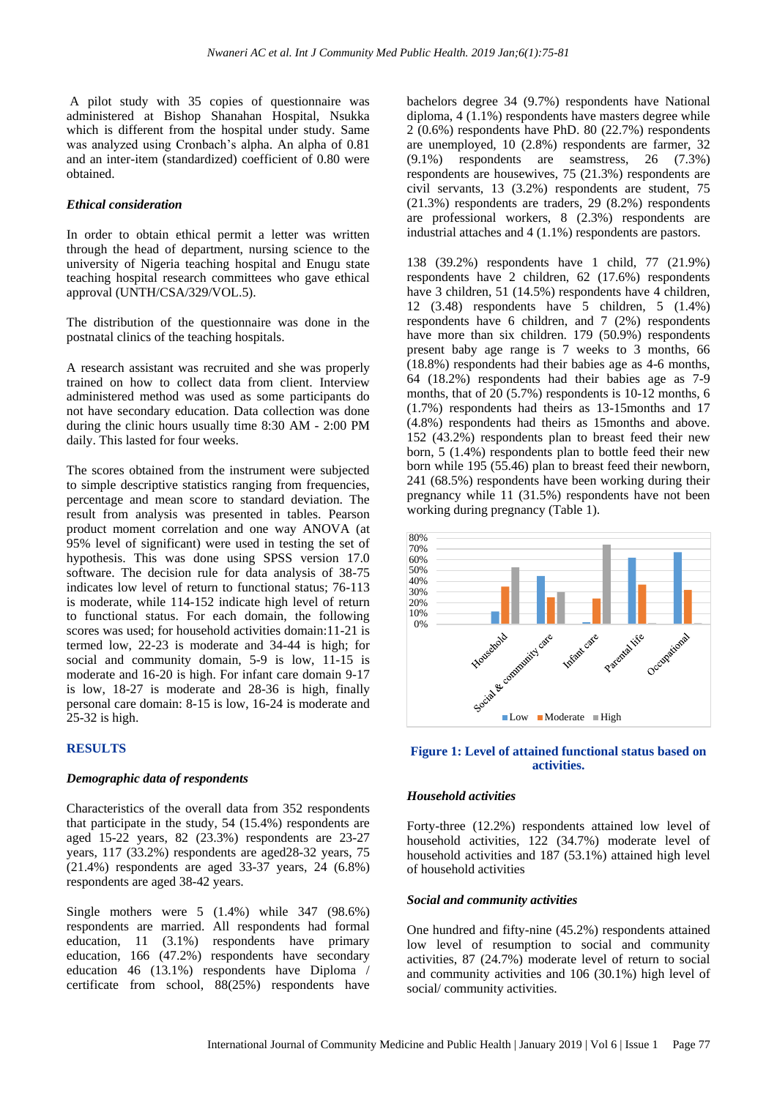A pilot study with 35 copies of questionnaire was administered at Bishop Shanahan Hospital, Nsukka which is different from the hospital under study. Same was analyzed using Cronbach's alpha. An alpha of 0.81 and an inter-item (standardized) coefficient of 0.80 were obtained.

#### *Ethical consideration*

In order to obtain ethical permit a letter was written through the head of department, nursing science to the university of Nigeria teaching hospital and Enugu state teaching hospital research committees who gave ethical approval (UNTH/CSA/329/VOL.5).

The distribution of the questionnaire was done in the postnatal clinics of the teaching hospitals.

A research assistant was recruited and she was properly trained on how to collect data from client. Interview administered method was used as some participants do not have secondary education. Data collection was done during the clinic hours usually time 8:30 AM - 2:00 PM daily. This lasted for four weeks.

The scores obtained from the instrument were subjected to simple descriptive statistics ranging from frequencies, percentage and mean score to standard deviation. The result from analysis was presented in tables. Pearson product moment correlation and one way ANOVA (at 95% level of significant) were used in testing the set of hypothesis. This was done using SPSS version 17.0 software. The decision rule for data analysis of 38-75 indicates low level of return to functional status; 76-113 is moderate, while 114-152 indicate high level of return to functional status. For each domain, the following scores was used; for household activities domain:11-21 is termed low, 22-23 is moderate and 34-44 is high; for social and community domain, 5-9 is low, 11-15 is moderate and 16-20 is high. For infant care domain 9-17 is low, 18-27 is moderate and 28-36 is high, finally personal care domain: 8-15 is low, 16-24 is moderate and 25-32 is high.

#### **RESULTS**

#### *Demographic data of respondents*

Characteristics of the overall data from 352 respondents that participate in the study, 54 (15.4%) respondents are aged 15-22 years, 82 (23.3%) respondents are 23-27 years, 117 (33.2%) respondents are aged28-32 years, 75 (21.4%) respondents are aged 33-37 years, 24 (6.8%) respondents are aged 38-42 years.

Single mothers were 5 (1.4%) while 347 (98.6%) respondents are married. All respondents had formal education, 11 (3.1%) respondents have primary education, 166 (47.2%) respondents have secondary education 46 (13.1%) respondents have Diploma / certificate from school, 88(25%) respondents have bachelors degree 34 (9.7%) respondents have National diploma, 4 (1.1%) respondents have masters degree while 2 (0.6%) respondents have PhD. 80 (22.7%) respondents are unemployed, 10 (2.8%) respondents are farmer, 32 (9.1%) respondents are seamstress, 26 (7.3%) respondents are housewives, 75 (21.3%) respondents are civil servants, 13 (3.2%) respondents are student, 75 (21.3%) respondents are traders, 29 (8.2%) respondents are professional workers, 8 (2.3%) respondents are industrial attaches and 4 (1.1%) respondents are pastors.

138 (39.2%) respondents have 1 child, 77 (21.9%) respondents have 2 children, 62 (17.6%) respondents have 3 children, 51 (14.5%) respondents have 4 children, 12 (3.48) respondents have 5 children, 5 (1.4%) respondents have 6 children, and 7 (2%) respondents have more than six children. 179 (50.9%) respondents present baby age range is 7 weeks to 3 months, 66 (18.8%) respondents had their babies age as 4-6 months, 64 (18.2%) respondents had their babies age as 7-9 months, that of  $20$  (5.7%) respondents is 10-12 months, 6 (1.7%) respondents had theirs as 13-15months and 17 (4.8%) respondents had theirs as 15months and above. 152 (43.2%) respondents plan to breast feed their new born, 5 (1.4%) respondents plan to bottle feed their new born while 195 (55.46) plan to breast feed their newborn, 241 (68.5%) respondents have been working during their pregnancy while 11 (31.5%) respondents have not been working during pregnancy (Table 1).



## **Figure 1: Level of attained functional status based on activities.**

#### *Household activities*

Forty-three (12.2%) respondents attained low level of household activities, 122 (34.7%) moderate level of household activities and 187 (53.1%) attained high level of household activities

#### *Social and community activities*

One hundred and fifty-nine (45.2%) respondents attained low level of resumption to social and community activities, 87 (24.7%) moderate level of return to social and community activities and 106 (30.1%) high level of social/ community activities.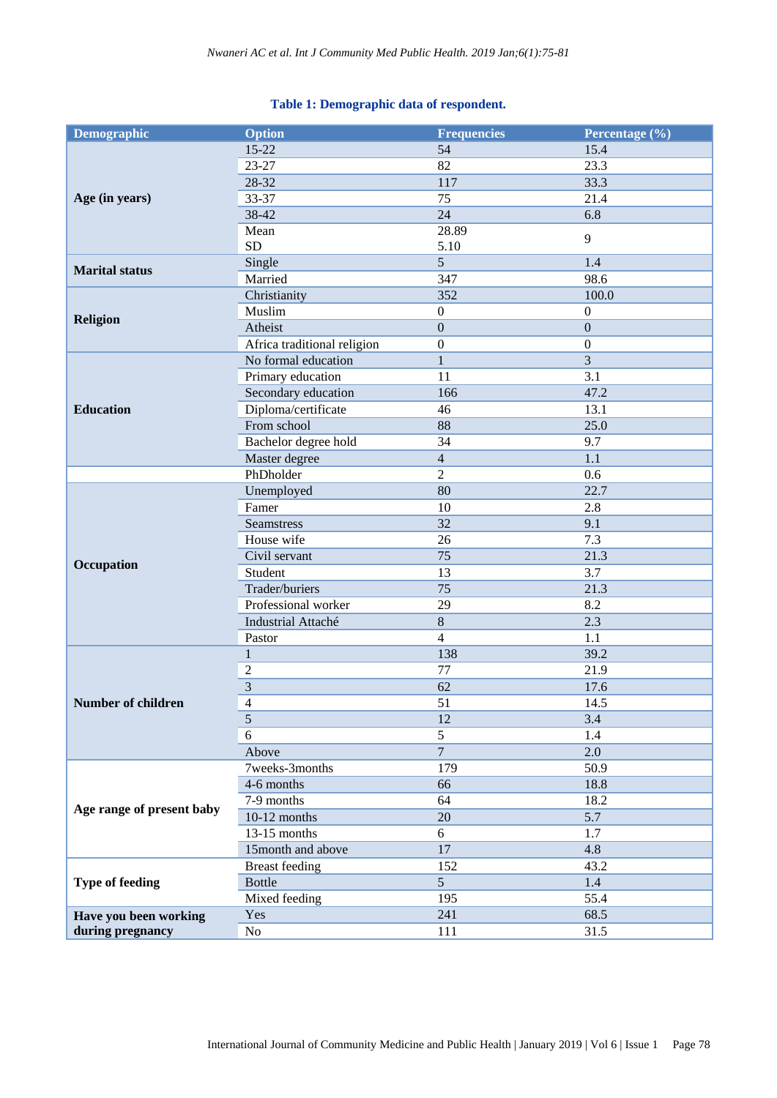## **Table 1: Demographic data of respondent.**

| <b>Demographic</b>        | <b>Option</b>                              | <b>Frequencies</b> | Percentage (%)   |
|---------------------------|--------------------------------------------|--------------------|------------------|
|                           | $15 - 22$                                  | 54                 | 15.4             |
|                           | $23 - 27$                                  | 82                 | 23.3             |
|                           | 28-32                                      | 117                | 33.3             |
| Age (in years)            | 33-37                                      | 75                 | 21.4             |
|                           | 38-42                                      | 24                 | 6.8              |
|                           | Mean                                       | 28.89              | 9                |
|                           | <b>SD</b>                                  | 5.10               |                  |
| <b>Marital</b> status     | Single                                     | 5                  | 1.4              |
|                           | Married                                    | 347                | 98.6             |
|                           | Christianity                               | 352                | 100.0            |
| <b>Religion</b>           | Muslim                                     | $\boldsymbol{0}$   | $\boldsymbol{0}$ |
|                           | Atheist                                    | $\boldsymbol{0}$   | $\boldsymbol{0}$ |
|                           | Africa traditional religion                | $\boldsymbol{0}$   | $\boldsymbol{0}$ |
|                           | No formal education                        | $\mathbf{1}$       | 3                |
|                           | Primary education                          | 11                 | 3.1              |
|                           | Secondary education                        | 166                | 47.2             |
| <b>Education</b>          | Diploma/certificate                        | 46                 | 13.1             |
|                           | From school                                | 88                 | 25.0             |
|                           | Bachelor degree hold                       | 34                 | 9.7              |
|                           | Master degree                              | $\overline{4}$     | 1.1              |
|                           | PhDholder                                  | $\overline{2}$     | 0.6              |
|                           | Unemployed                                 | 80                 | 22.7             |
|                           | Famer                                      | 10                 | 2.8              |
|                           | <b>Seamstress</b>                          | 32                 | 9.1              |
|                           | House wife                                 | 26                 | 7.3              |
| Occupation                | Civil servant                              | 75                 | 21.3             |
|                           | Student                                    | 13                 | 3.7              |
|                           | Trader/buriers                             | 75                 | 21.3             |
|                           | Professional worker                        | 29                 | 8.2              |
|                           | Industrial Attaché                         | $8\,$              | 2.3              |
|                           | Pastor                                     | $\overline{4}$     | 1.1              |
|                           | $\mathbf{1}$                               | 138                | 39.2             |
|                           | $\overline{c}$                             | 77                 | 21.9             |
|                           | $\overline{3}$<br>$\overline{\mathcal{A}}$ | 62                 | 17.6             |
| <b>Number of children</b> |                                            | 51                 | 14.5             |
|                           | 5                                          | 12<br>5            | 3.4              |
|                           | 6                                          | $\overline{7}$     | 1.4              |
|                           | Above<br>7weeks-3months                    | 179                | 2.0<br>50.9      |
| Age range of present baby | 4-6 months                                 | 66                 | 18.8             |
|                           | 7-9 months                                 | 64                 | 18.2             |
|                           | $10-12$ months                             | $20\,$             | 5.7              |
|                           | $13-15$ months                             | 6                  | 1.7              |
|                           | 15month and above                          | $17\,$             | 4.8              |
|                           | <b>Breast</b> feeding                      | 152                | 43.2             |
| <b>Type of feeding</b>    | <b>Bottle</b>                              | 5                  | 1.4              |
|                           | Mixed feeding                              | 195                | 55.4             |
| Have you been working     | Yes                                        | 241                | 68.5             |
| during pregnancy<br>No    |                                            | 111                | 31.5             |
|                           |                                            |                    |                  |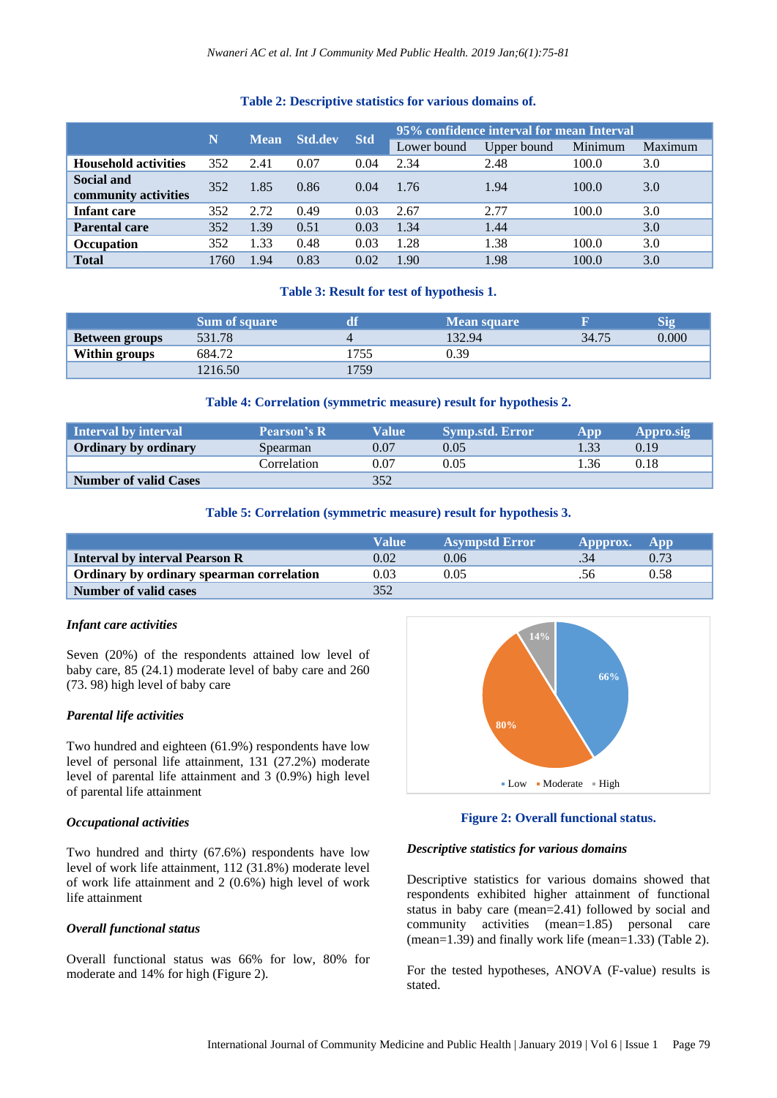## **Table 2: Descriptive statistics for various domains of.**

|                                    |      |             | <b>Std.dev</b> |            | 95% confidence interval for mean Interval |             |         |         |
|------------------------------------|------|-------------|----------------|------------|-------------------------------------------|-------------|---------|---------|
|                                    | N    | <b>Mean</b> |                | <b>Std</b> | Lower bound                               | Upper bound | Minimum | Maximum |
| <b>Household activities</b>        | 352  | 2.41        | 0.07           | 0.04       | 2.34                                      | 2.48        | 100.0   | 3.0     |
| Social and<br>community activities | 352  | 1.85        | 0.86           | 0.04       | 1.76                                      | 1.94        | 100.0   | 3.0     |
| Infant care                        | 352  | 2.72        | 0.49           | 0.03       | 2.67                                      | 2.77        | 100.0   | 3.0     |
| <b>Parental care</b>               | 352  | 1.39        | 0.51           | 0.03       | 1.34                                      | 1.44        |         | 3.0     |
| Occupation                         | 352  | 1.33        | 0.48           | 0.03       | 1.28                                      | 1.38        | 100.0   | 3.0     |
| <b>Total</b>                       | 1760 | 1.94        | 0.83           | 0.02       | 1.90                                      | 1.98        | 100.0   | 3.0     |

## **Table 3: Result for test of hypothesis 1.**

|                       | <b>Sum of square</b> |     | <b>Mean square</b> |       | Sio   |
|-----------------------|----------------------|-----|--------------------|-------|-------|
| <b>Between groups</b> | 531.78               |     | 132.94             | 34.75 | 0.000 |
| Within groups         | 684.72               | 755 | 0.39               |       |       |
|                       | 1216.50              | 759 |                    |       |       |

## **Table 4: Correlation (symmetric measure) result for hypothesis 2.**

| Interval by interval         | <b>Pearson's R</b> | Value | Symp.std. Error' | App         | Appro.sig |
|------------------------------|--------------------|-------|------------------|-------------|-----------|
| <b>Ordinary by ordinary</b>  | Spearman           | 0.07  | 0.05             |             | 0.19      |
|                              | Correlation        | 0.07  | 0.05             | $\cdot$ .36 | 0.18      |
| <b>Number of valid Cases</b> |                    | 352   |                  |             |           |

#### **Table 5: Correlation (symmetric measure) result for hypothesis 3.**

|                                           | Value | <b>Asympstd Error</b> | Appprox. | App  |
|-------------------------------------------|-------|-----------------------|----------|------|
| <b>Interval by interval Pearson R</b>     | 0.02  | 0.06                  |          |      |
| Ordinary by ordinary spearman correlation | 0.03  | 0.05                  |          | 0.58 |
| <b>Number of valid cases</b>              | 352   |                       |          |      |

#### *Infant care activities*

Seven (20%) of the respondents attained low level of baby care, 85 (24.1) moderate level of baby care and 260 (73. 98) high level of baby care

#### *Parental life activities*

Two hundred and eighteen (61.9%) respondents have low level of personal life attainment, 131 (27.2%) moderate level of parental life attainment and 3 (0.9%) high level of parental life attainment

#### *Occupational activities*

Two hundred and thirty (67.6%) respondents have low level of work life attainment, 112 (31.8%) moderate level of work life attainment and 2 (0.6%) high level of work life attainment

#### *Overall functional status*

Overall functional status was 66% for low, 80% for moderate and 14% for high (Figure 2).



#### **Figure 2: Overall functional status.**

#### *Descriptive statistics for various domains*

Descriptive statistics for various domains showed that respondents exhibited higher attainment of functional status in baby care (mean=2.41) followed by social and community activities (mean=1.85) personal care (mean=1.39) and finally work life (mean=1.33) (Table 2).

For the tested hypotheses, ANOVA (F-value) results is stated.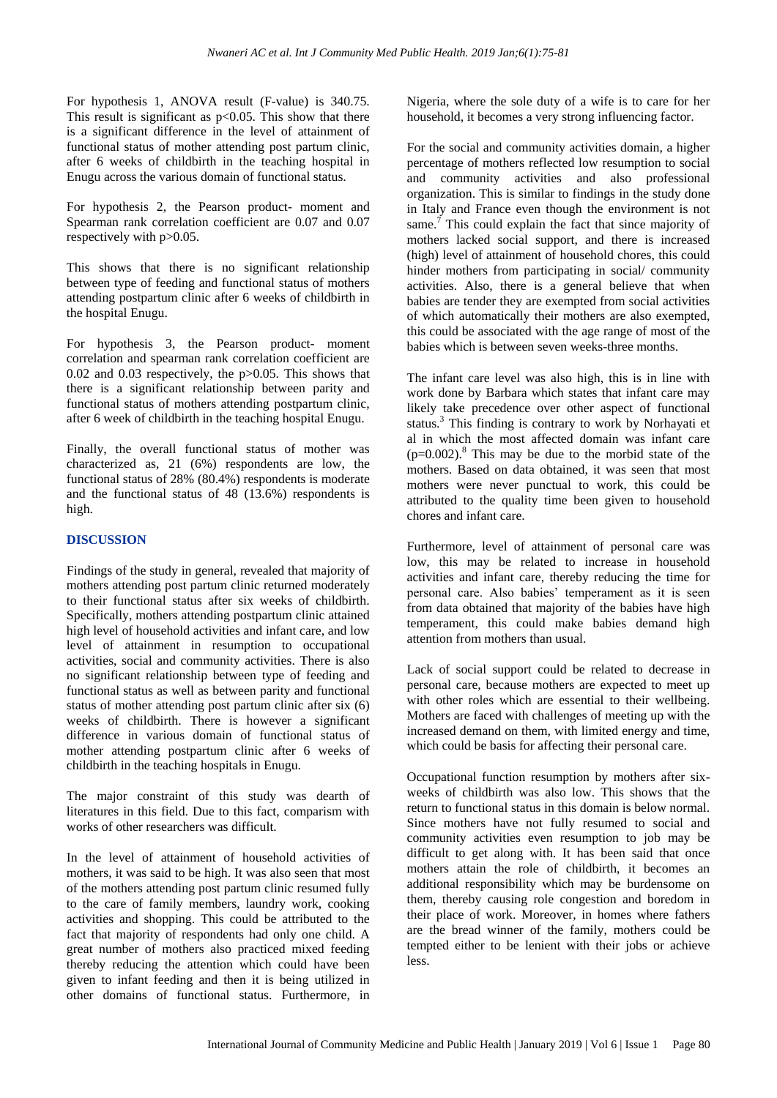For hypothesis 1, ANOVA result (F-value) is 340.75. This result is significant as  $p<0.05$ . This show that there is a significant difference in the level of attainment of functional status of mother attending post partum clinic, after 6 weeks of childbirth in the teaching hospital in Enugu across the various domain of functional status.

For hypothesis 2, the Pearson product- moment and Spearman rank correlation coefficient are 0.07 and 0.07 respectively with  $p > 0.05$ .

This shows that there is no significant relationship between type of feeding and functional status of mothers attending postpartum clinic after 6 weeks of childbirth in the hospital Enugu.

For hypothesis 3, the Pearson product- moment correlation and spearman rank correlation coefficient are 0.02 and 0.03 respectively, the p>0.05. This shows that there is a significant relationship between parity and functional status of mothers attending postpartum clinic, after 6 week of childbirth in the teaching hospital Enugu.

Finally, the overall functional status of mother was characterized as, 21 (6%) respondents are low, the functional status of 28% (80.4%) respondents is moderate and the functional status of 48 (13.6%) respondents is high.

## **DISCUSSION**

Findings of the study in general, revealed that majority of mothers attending post partum clinic returned moderately to their functional status after six weeks of childbirth. Specifically, mothers attending postpartum clinic attained high level of household activities and infant care, and low level of attainment in resumption to occupational activities, social and community activities. There is also no significant relationship between type of feeding and functional status as well as between parity and functional status of mother attending post partum clinic after six (6) weeks of childbirth. There is however a significant difference in various domain of functional status of mother attending postpartum clinic after 6 weeks of childbirth in the teaching hospitals in Enugu.

The major constraint of this study was dearth of literatures in this field. Due to this fact, comparism with works of other researchers was difficult.

In the level of attainment of household activities of mothers, it was said to be high. It was also seen that most of the mothers attending post partum clinic resumed fully to the care of family members, laundry work, cooking activities and shopping. This could be attributed to the fact that majority of respondents had only one child. A great number of mothers also practiced mixed feeding thereby reducing the attention which could have been given to infant feeding and then it is being utilized in other domains of functional status. Furthermore, in Nigeria, where the sole duty of a wife is to care for her household, it becomes a very strong influencing factor.

For the social and community activities domain, a higher percentage of mothers reflected low resumption to social and community activities and also professional organization. This is similar to findings in the study done in Italy and France even though the environment is not same.<sup>7</sup> This could explain the fact that since majority of mothers lacked social support, and there is increased (high) level of attainment of household chores, this could hinder mothers from participating in social/ community activities. Also, there is a general believe that when babies are tender they are exempted from social activities of which automatically their mothers are also exempted, this could be associated with the age range of most of the babies which is between seven weeks-three months.

The infant care level was also high, this is in line with work done by Barbara which states that infant care may likely take precedence over other aspect of functional status. <sup>3</sup> This finding is contrary to work by Norhayati et al in which the most affected domain was infant care  $(p=0.002)$ .<sup>8</sup> This may be due to the morbid state of the mothers. Based on data obtained, it was seen that most mothers were never punctual to work, this could be attributed to the quality time been given to household chores and infant care.

Furthermore, level of attainment of personal care was low, this may be related to increase in household activities and infant care, thereby reducing the time for personal care. Also babies' temperament as it is seen from data obtained that majority of the babies have high temperament, this could make babies demand high attention from mothers than usual.

Lack of social support could be related to decrease in personal care, because mothers are expected to meet up with other roles which are essential to their wellbeing. Mothers are faced with challenges of meeting up with the increased demand on them, with limited energy and time, which could be basis for affecting their personal care.

Occupational function resumption by mothers after sixweeks of childbirth was also low. This shows that the return to functional status in this domain is below normal. Since mothers have not fully resumed to social and community activities even resumption to job may be difficult to get along with. It has been said that once mothers attain the role of childbirth, it becomes an additional responsibility which may be burdensome on them, thereby causing role congestion and boredom in their place of work. Moreover, in homes where fathers are the bread winner of the family, mothers could be tempted either to be lenient with their jobs or achieve less.